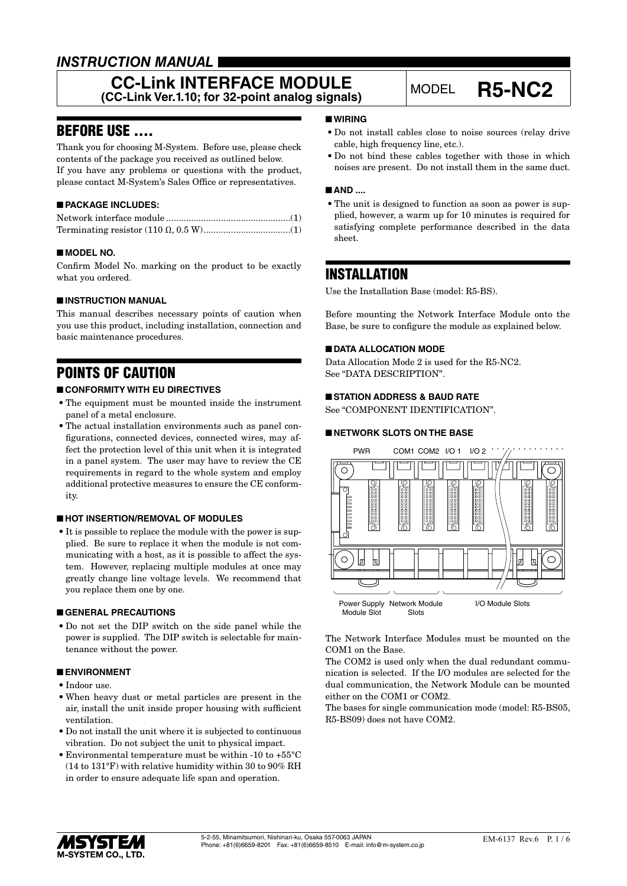# *INSTRUCTION MANUAL*

## **CC-Link INTERFACE MODULE CC-Link INTERFACE MODULE**<br>(CC-Link Ver.1.10; for 32-point analog signals) MODEL **R5-NC2**

## BEFORE USE ....

Thank you for choosing M-System. Before use, please check contents of the package you received as outlined below. If you have any problems or questions with the product, please contact M-System's Sales Office or representatives.

## ■ **PACKAGE INCLUDES:**

### ■ **MODEL NO.**

Confirm Model No. marking on the product to be exactly what you ordered.

### ■ **INSTRUCTION MANUAL**

This manual describes necessary points of caution when you use this product, including installation, connection and basic maintenance procedures.

# POINTS OF CAUTION

### ■ **CONFORMITY WITH EU DIRECTIVES**

- The equipment must be mounted inside the instrument panel of a metal enclosure.
- The actual installation environments such as panel configurations, connected devices, connected wires, may affect the protection level of this unit when it is integrated in a panel system. The user may have to review the CE requirements in regard to the whole system and employ additional protective measures to ensure the CE conformity.

### ■ **HOT INSERTION/REMOVAL OF MODULES**

• It is possible to replace the module with the power is supplied. Be sure to replace it when the module is not communicating with a host, as it is possible to affect the system. However, replacing multiple modules at once may greatly change line voltage levels. We recommend that you replace them one by one.

#### ■ **GENERAL PRECAUTIONS**

• Do not set the DIP switch on the side panel while the power is supplied. The DIP switch is selectable for maintenance without the power.

### ■ **ENVIRONMENT**

- Indoor use.
- When heavy dust or metal particles are present in the air, install the unit inside proper housing with sufficient ventilation.
- Do not install the unit where it is subjected to continuous vibration. Do not subject the unit to physical impact.
- Environmental temperature must be within -10 to +55°C (14 to 131°F) with relative humidity within 30 to 90% RH in order to ensure adequate life span and operation.

### ■ **WIRING**

- Do not install cables close to noise sources (relay drive cable, high frequency line, etc.).
- Do not bind these cables together with those in which noises are present. Do not install them in the same duct.

#### ■ AND ....

• The unit is designed to function as soon as power is supplied, however, a warm up for 10 minutes is required for satisfying complete performance described in the data sheet.

## INSTALLATION

Use the Installation Base (model: R5-BS).

Before mounting the Network Interface Module onto the Base, be sure to configure the module as explained below.

### ■ **DATA ALLOCATION MODE**

Data Allocation Mode 2 is used for the R5-NC2. See "DATA DESCRIPTION".

#### ■ **STATION ADDRESS & BAUD RATE**

See "COMPONENT IDENTIFICATION".

#### ■ **NETWORK SLOTS ON THE BASE**



The Network Interface Modules must be mounted on the COM1 on the Base.

The COM2 is used only when the dual redundant communication is selected. If the I/O modules are selected for the dual communication, the Network Module can be mounted either on the COM1 or COM2.

The bases for single communication mode (model: R5-BS05, R5-BS09) does not have COM2.

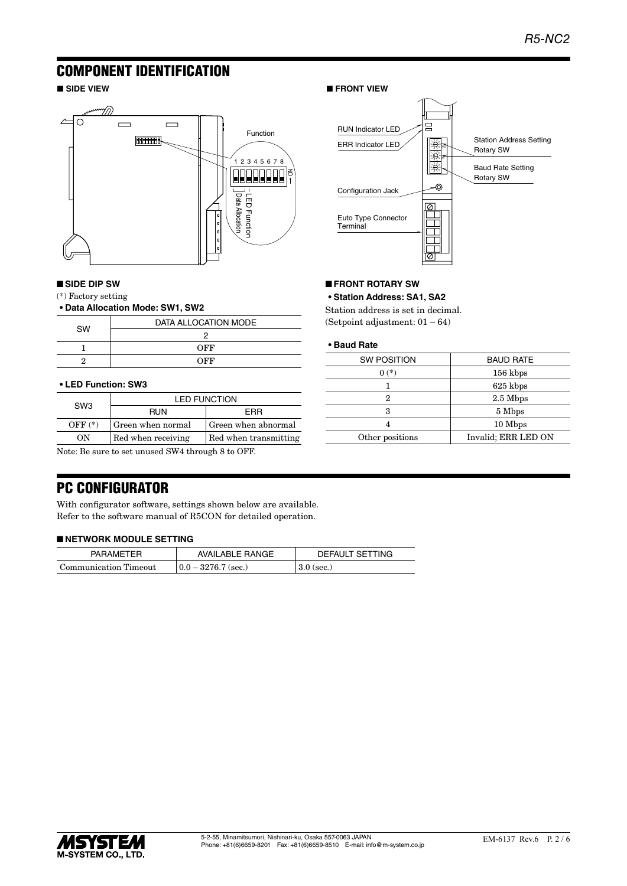## COMPONENT IDENTIFICATION



#### ■ **SIDE DIP SW**

(\*) Factory setting

#### **• Data Allocation Mode: SW1, SW2**

|           | DATA ALLOCATION MODE |
|-----------|----------------------|
| <b>SW</b> |                      |
|           | OFF                  |
|           | OFF                  |

#### **• LED Function: SW3**

| SW <sub>3</sub> | <b>LED FUNCTION</b> |                       |
|-----------------|---------------------|-----------------------|
|                 | <b>RUN</b>          | FRR                   |
| $OFF(*)$        | Green when normal   | Green when abnormal   |
| OΝ              | Red when receiving  | Red when transmitting |
|                 |                     |                       |

Note: Be sure to set unused SW4 through 8 to OFF.

### ■ **SIDE VIEW** ■ **FRONT VIEW**



#### ■ **FRONT ROTARY SW**

**• Station Address: SA1, SA2**

Station address is set in decimal. (Setpoint adjustment: 01 – 64)

#### **• Baud Rate**

| <b>SW POSITION</b> | <b>BAUD RATE</b>    |
|--------------------|---------------------|
| $0(*)$             | 156 kbps            |
|                    | 625 kbps            |
| 2                  | $2.5$ Mbps          |
| 3                  | 5 Mbps              |
|                    | 10 Mbps             |
| Other positions    | Invalid; ERR LED ON |
|                    |                     |

## PC CONFIGURATOR

With configurator software, settings shown below are available. Refer to the software manual of R5CON for detailed operation.

#### ■ **NETWORK MODULE SETTING**

| <b>PARAMETER</b>      | AVAILABLE RANGE       | DEFAULT SETTING |
|-----------------------|-----------------------|-----------------|
| Communication Timeout | $0.0 - 3276.7$ (sec.) | $3.0$ (sec.)    |

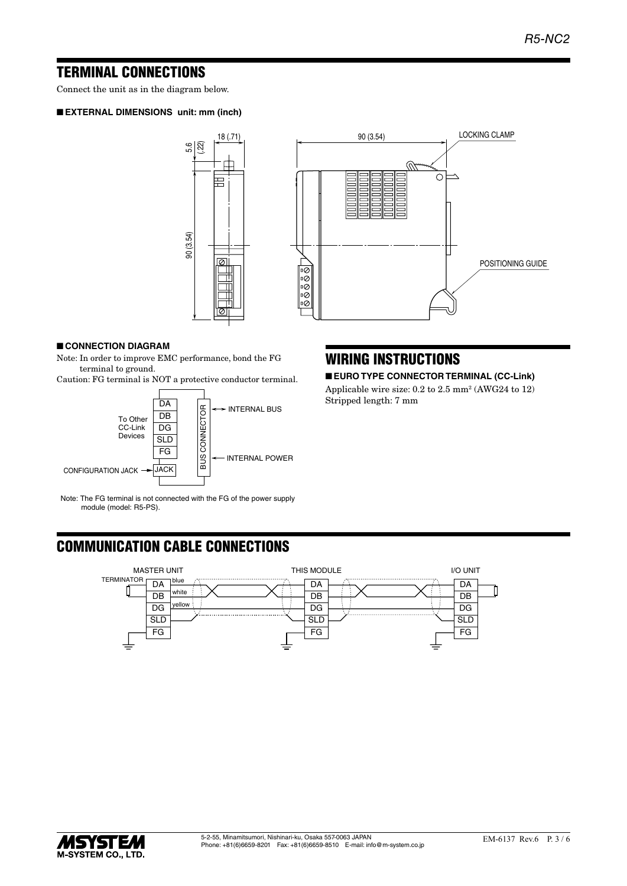## TERMINAL CONNECTIONS

Connect the unit as in the diagram below.

#### ■ **EXTERNAL DIMENSIONS unit: mm (inch)**





### ■ **CONNECTION DIAGRAM**

Note: In order to improve EMC performance, bond the FG terminal to ground.

Caution: FG terminal is NOT a protective conductor terminal.



Note: The FG terminal is not connected with the FG of the power supply module (model: R5-PS).

## WIRING INSTRUCTIONS

■ **EURO TYPE CONNECTOR TERMINAL (CC-Link)**

Applicable wire size: 0.2 to 2.5 mm<sup>2</sup> (AWG24 to 12) Stripped length: 7 mm

# COMMUNICATION CABLE CONNECTIONS



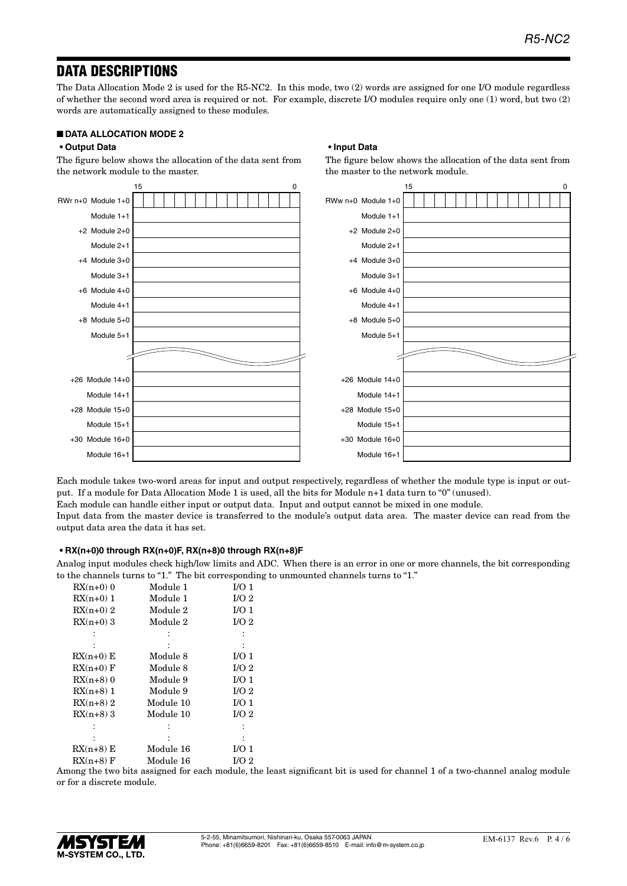## DATA DESCRIPTIONS

The Data Allocation Mode 2 is used for the R5-NC2. In this mode, two (2) words are assigned for one I/O module regardless of whether the second word area is required or not. For example, discrete I/O modules require only one (1) word, but two (2) words are automatically assigned to these modules.

**• Input Data**

the master to the network module.

The figure below shows the allocation of the data sent from

#### ■ **DATA ALLOCATION MODE 2**

#### **• Output Data**

The figure below shows the allocation of the data sent from the network module to the master.



Each module takes two-word areas for input and output respectively, regardless of whether the module type is input or output. If a module for Data Allocation Mode 1 is used, all the bits for Module n+1 data turn to "0" (unused). Each module can handle either input or output data. Input and output cannot be mixed in one module. Input data from the master device is transferred to the module's output data area. The master device can read from the output data area the data it has set.

#### **• RX(n+0)0 through RX(n+0)F, RX(n+8)0 through RX(n+8)F**

Analog input modules check high/low limits and ADC. When there is an error in one or more channels, the bit corresponding to the channels turns to "1." The bit corresponding to unmounted channels turns to "1."

| $RX(n+0)$ 0 | Module 1  | I/O <sub>1</sub> |
|-------------|-----------|------------------|
| $RX(n+0)$ 1 | Module 1  | I/O <sub>2</sub> |
| $RX(n+0)$ 2 | Module 2  | I/O <sub>1</sub> |
| $RX(n+0)$ 3 | Module 2  | I/O <sub>2</sub> |
|             |           |                  |
|             |           |                  |
| $RX(n+0) E$ | Module 8  | I/O <sub>1</sub> |
| $RX(n+0)$ F | Module 8  | I/O <sub>2</sub> |
| $RX(n+8)$ 0 | Module 9  | I/O <sub>1</sub> |
| $RX(n+8)$ 1 | Module 9  | I/O <sub>2</sub> |
| $RX(n+8)$ 2 | Module 10 | I/O <sub>1</sub> |
| $RX(n+8)$ 3 | Module 10 | I/O <sub>2</sub> |
|             |           |                  |
|             |           |                  |
| $RX(n+8) E$ | Module 16 | I/O <sub>1</sub> |
| $RX(n+8)$ F | Module 16 | I/O 2            |

Among the two bits assigned for each module, the least significant bit is used for channel 1 of a two-channel analog module or for a discrete module.

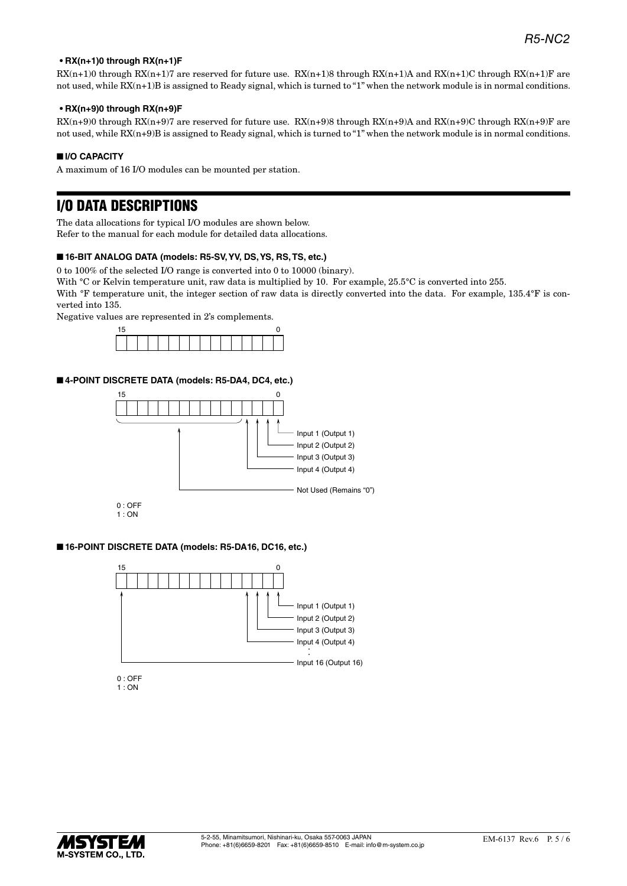#### **• RX(n+1)0 through RX(n+1)F**

 $RX(n+1)0$  through  $RX(n+1)7$  are reserved for future use.  $RX(n+1)8$  through  $RX(n+1)A$  and  $RX(n+1)C$  through  $RX(n+1)F$  are not used, while  $RX(n+1)B$  is assigned to Ready signal, which is turned to "1" when the network module is in normal conditions.

#### **• RX(n+9)0 through RX(n+9)F**

 $RX(n+9)0$  through  $RX(n+9)7$  are reserved for future use.  $RX(n+9)8$  through  $RX(n+9)A$  and  $RX(n+9)C$  through  $RX(n+9)F$  are not used, while RX(n+9)B is assigned to Ready signal, which is turned to "1" when the network module is in normal conditions.

#### ■ **I/O CAPACITY**

A maximum of 16 I/O modules can be mounted per station.

## I/O DATA DESCRIPTIONS

The data allocations for typical I/O modules are shown below. Refer to the manual for each module for detailed data allocations.

#### ■ **16-BIT ANALOG DATA (models: R5-SV, YV, DS, YS, RS, TS, etc.)**

0 to 100% of the selected I/O range is converted into 0 to 10000 (binary).

With °C or Kelvin temperature unit, raw data is multiplied by 10. For example, 25.5°C is converted into 255.

With °F temperature unit, the integer section of raw data is directly converted into the data. For example, 135.4°F is converted into 135.

Negative values are represented in 2's complements.



## ■ **4-POINT DISCRETE DATA (models: R5-DA4, DC4, etc.)**





#### ■ **16-POINT DISCRETE DATA (models: R5-DA16, DC16, etc.)**